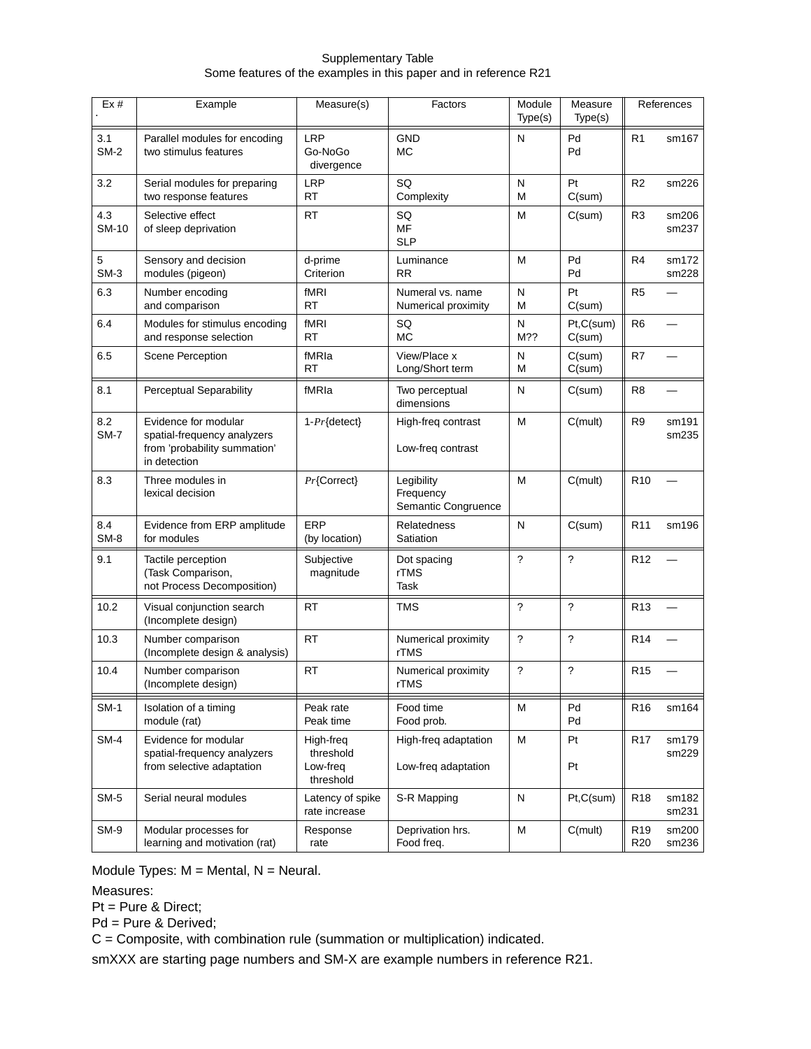## Supplementary Table Some features of the examples in this paper and in reference R21

| Ex#                | Example                                                                                             | Measure(s)                                      | Factors                                        | Module<br>Type(s)   | Measure<br>Type(s)       | References                         |                |
|--------------------|-----------------------------------------------------------------------------------------------------|-------------------------------------------------|------------------------------------------------|---------------------|--------------------------|------------------------------------|----------------|
| 3.1<br>$SM-2$      | Parallel modules for encoding<br>two stimulus features                                              | <b>LRP</b><br>Go-NoGo<br>divergence             | <b>GND</b><br>МC                               | N                   | Pd<br>Pd                 | R <sub>1</sub>                     | sm167          |
| 3.2                | Serial modules for preparing<br>two response features                                               | <b>LRP</b><br><b>RT</b>                         | SQ<br>Complexity                               | N<br>M              | Pt<br>C(sum)             | R <sub>2</sub>                     | sm226          |
| 4.3<br>SM-10       | Selective effect<br>of sleep deprivation                                                            | <b>RT</b>                                       | SQ<br><b>MF</b><br><b>SLP</b>                  | M                   | C(sum)                   | R <sub>3</sub>                     | sm206<br>sm237 |
| 5<br>$SM-3$        | Sensory and decision<br>modules (pigeon)                                                            | d-prime<br>Criterion                            | Luminance<br><b>RR</b>                         | M                   | Pd<br>Pd                 | R <sub>4</sub>                     | sm172<br>sm228 |
| 6.3                | Number encoding<br>and comparison                                                                   | fMRI<br><b>RT</b>                               | Numeral vs. name<br>Numerical proximity        | N<br>M              | Pt<br>C(sum)             | R <sub>5</sub>                     |                |
| 6.4                | Modules for stimulus encoding<br>and response selection                                             | fMRI<br><b>RT</b>                               | SQ<br><b>MC</b>                                | ${\sf N}$<br>$M$ ?? | Pt,C(sum)<br>C(sum)      | R <sub>6</sub>                     |                |
| 6.5                | <b>Scene Perception</b>                                                                             | fMRIa<br><b>RT</b>                              | View/Place x<br>Long/Short term                | N<br>M              | C(sum)<br>C(sum)         | R7                                 |                |
| 8.1                | <b>Perceptual Separability</b>                                                                      | fMRIa                                           | Two perceptual<br>dimensions                   | N                   | C(sum)                   | R <sub>8</sub>                     |                |
| 8.2<br><b>SM-7</b> | Evidence for modular<br>spatial-frequency analyzers<br>from 'probability summation'<br>in detection | $1-Pr{detect}$                                  | High-freq contrast<br>Low-freq contrast        | М                   | C(mult)                  | R9                                 | sm191<br>sm235 |
| 8.3                | Three modules in<br>lexical decision                                                                | $Pr{Correct}$                                   | Legibility<br>Frequency<br>Semantic Congruence | M                   | C(mult)                  | R <sub>10</sub>                    |                |
| 8.4<br>$SM-8$      | Evidence from ERP amplitude<br>for modules                                                          | ERP<br>(by location)                            | Relatedness<br>Satiation                       | N                   | C(sum)                   | R <sub>11</sub>                    | sm196          |
| 9.1                | Tactile perception<br>(Task Comparison,<br>not Process Decomposition)                               | Subjective<br>magnitude                         | Dot spacing<br>rTMS<br>Task                    | $\tilde{?}$         | $\overline{\phantom{0}}$ | R <sub>12</sub>                    |                |
| 10.2               | Visual conjunction search<br>(Incomplete design)                                                    | <b>RT</b>                                       | <b>TMS</b>                                     | $\tilde{?}$         | $\overline{\phantom{0}}$ | R <sub>13</sub>                    |                |
| 10.3               | Number comparison<br>(Incomplete design & analysis)                                                 | <b>RT</b>                                       | Numerical proximity<br>rTMS                    | ?                   | ?                        | R <sub>14</sub>                    |                |
| 10.4               | Number comparison<br>(Incomplete design)                                                            | <b>RT</b>                                       | Numerical proximity<br>rTMS                    | $\tilde{?}$         | ?                        | R <sub>15</sub>                    |                |
| <b>SM-1</b>        | Isolation of a timing<br>module (rat)                                                               | Peak rate<br>Peak time                          | Food time<br>Food prob.                        | M                   | Pd<br>Pd                 | R <sub>16</sub>                    | sm164          |
| SM-4               | Evidence for modular<br>spatial-frequency analyzers<br>from selective adaptation                    | High-freq<br>threshold<br>Low-freq<br>threshold | High-freq adaptation<br>Low-freq adaptation    | M                   | Pt<br>Pt                 | R <sub>17</sub>                    | sm179<br>sm229 |
| <b>SM-5</b>        | Serial neural modules                                                                               | Latency of spike<br>rate increase               | S-R Mapping                                    | ${\sf N}$           | Pt,C(sum)                | R <sub>18</sub>                    | sm182<br>sm231 |
| SM-9               | Modular processes for<br>learning and motivation (rat)                                              | Response<br>rate                                | Deprivation hrs.<br>Food freq.                 | M                   | C(mult)                  | R <sub>19</sub><br>R <sub>20</sub> | sm200<br>sm236 |

Module Types:  $M = M$ ental,  $N = N$ eural.

Measures:

Pt = Pure & Direct;

Pd = Pure & Derived;

C=Composite, with combination rule (summation or multiplication) indicated.

smXXX are starting page numbers and SM-X are example numbers in reference R21.